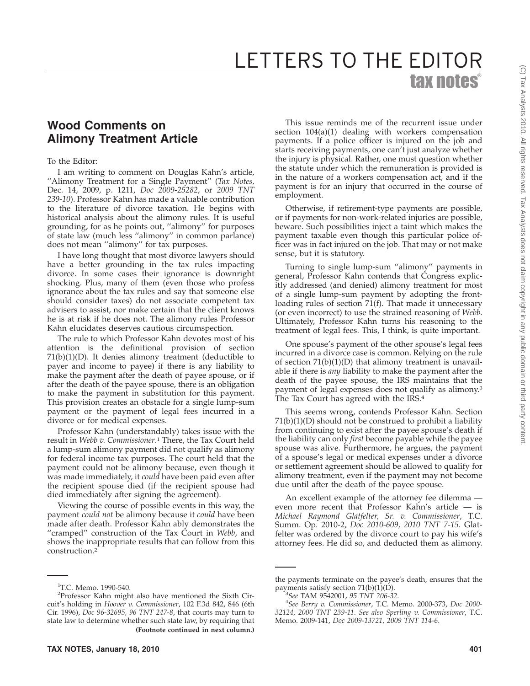## **Wood Comments on Alimony Treatment Article**

## To the Editor:

I am writing to comment on Douglas Kahn's article, ''Alimony Treatment for a Single Payment'' (*Tax Notes,* Dec. 14, 2009, p. 1211, *Doc 2009-25282*, or *2009 TNT 239-10*). Professor Kahn has made a valuable contribution to the literature of divorce taxation. He begins with historical analysis about the alimony rules. It is useful grounding, for as he points out, ''alimony'' for purposes of state law (much less ''alimony'' in common parlance) does not mean ''alimony'' for tax purposes.

I have long thought that most divorce lawyers should have a better grounding in the tax rules impacting divorce. In some cases their ignorance is downright shocking. Plus, many of them (even those who profess ignorance about the tax rules and say that someone else should consider taxes) do not associate competent tax advisers to assist, nor make certain that the client knows he is at risk if he does not. The alimony rules Professor Kahn elucidates deserves cautious circumspection.

The rule to which Professor Kahn devotes most of his attention is the definitional provision of section 71(b)(1)(D). It denies alimony treatment (deductible to payer and income to payee) if there is any liability to make the payment after the death of payee spouse, or if after the death of the payee spouse, there is an obligation to make the payment in substitution for this payment. This provision creates an obstacle for a single lump-sum payment or the payment of legal fees incurred in a divorce or for medical expenses.

Professor Kahn (understandably) takes issue with the result in *Webb v. Commissioner*. <sup>1</sup> There, the Tax Court held a lump-sum alimony payment did not qualify as alimony for federal income tax purposes. The court held that the payment could not be alimony because, even though it was made immediately, it *could* have been paid even after the recipient spouse died (if the recipient spouse had died immediately after signing the agreement).

Viewing the course of possible events in this way, the payment *could not* be alimony because it *could* have been made after death. Professor Kahn ably demonstrates the ''cramped'' construction of the Tax Court in *Webb*, and shows the inappropriate results that can follow from this construction.2

This issue reminds me of the recurrent issue under section 104(a)(1) dealing with workers compensation payments. If a police officer is injured on the job and starts receiving payments, one can't just analyze whether the injury is physical. Rather, one must question whether the statute under which the remuneration is provided is in the nature of a workers compensation act, and if the payment is for an injury that occurred in the course of employment.

Otherwise, if retirement-type payments are possible, or if payments for non-work-related injuries are possible, beware. Such possibilities inject a taint which makes the payment taxable even though this particular police officer was in fact injured on the job. That may or not make sense, but it is statutory.

Turning to single lump-sum ''alimony'' payments in general, Professor Kahn contends that Congress explicitly addressed (and denied) alimony treatment for most of a single lump-sum payment by adopting the frontloading rules of section 71(f). That made it unnecessary (or even incorrect) to use the strained reasoning of *Webb*. Ultimately, Professor Kahn turns his reasoning to the treatment of legal fees. This, I think, is quite important.

One spouse's payment of the other spouse's legal fees incurred in a divorce case is common. Relying on the rule of section  $71(b)(1)(D)$  that alimony treatment is unavailable if there is *any* liability to make the payment after the death of the payee spouse, the IRS maintains that the payment of legal expenses does not qualify as alimony.3 The Tax Court has agreed with the IRS.<sup>4</sup>

This seems wrong, contends Professor Kahn. Section 71(b)(1)(D) should not be construed to prohibit a liability from continuing to exist after the payee spouse's death if the liability can only *first* become payable while the payee spouse was alive. Furthermore, he argues, the payment of a spouse's legal or medical expenses under a divorce or settlement agreement should be allowed to qualify for alimony treatment, even if the payment may not become due until after the death of the payee spouse.

An excellent example of the attorney fee dilemma even more recent that Professor Kahn's article — is *Michael Raymond Glatfelter, Sr. v. Commissioner*, T.C. Summ. Op. 2010-2, *Doc 2010-609, 2010 TNT 7-15*. Glatfelter was ordered by the divorce court to pay his wife's attorney fees. He did so, and deducted them as alimony.

<sup>&</sup>lt;sup>1</sup>T.C. Memo. 1990-540.

<sup>2</sup> Professor Kahn might also have mentioned the Sixth Circuit's holding in *Hoover v. Commissioner*, 102 F.3d 842, 846 (6th Cir. 1996), *Doc 96-32695, 96 TNT 247-8*, that courts may turn to state law to determine whether such state law, by requiring that **(Footnote continued in next column.)**

the payments terminate on the payee's death, ensures that the payments satisfy section  $71(b)(1)(D)$ .

*See* TAM 9542001, *95 TNT 206-32*. <sup>4</sup>

*See Berry v. Commissioner*, T.C. Memo. 2000-373, *Doc 2000- 32124, 2000 TNT 239-11*. *See also Sperling v. Commissioner*, T.C. Memo. 2009-141, *Doc 2009-13721, 2009 TNT 114-6*.